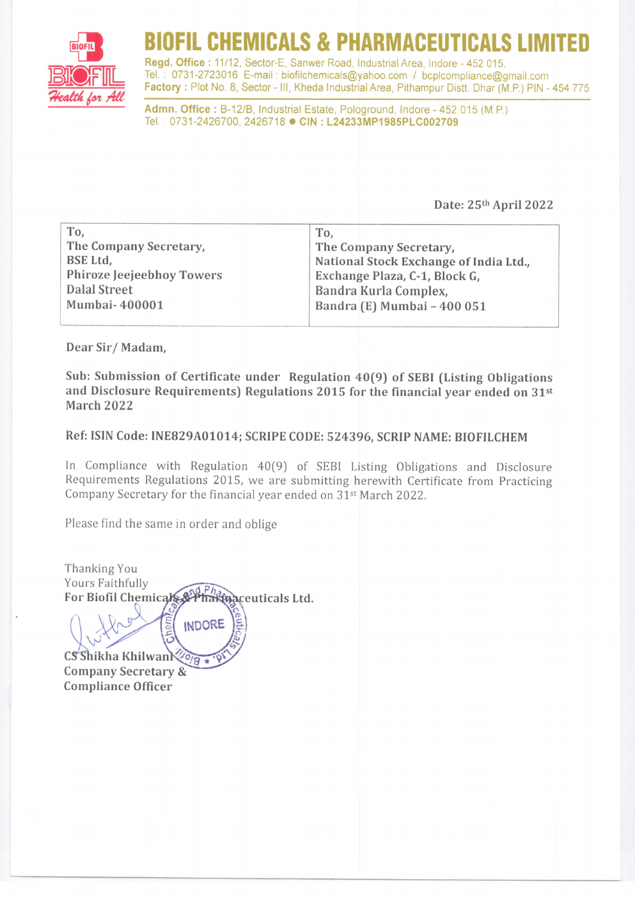

## DFIL CHEMICALS & PHARMACEUT

Regd. Office: 11/12, Sector-E, Sanwer Road, Industrial Area, Indore - 452 015. Tel. : 0731-2723016 E-mail : biofilchemicals@yahoo.com / bcplcompliance@gmail,com Factory : Plot No. 8, Sector - III, Kheda Industrial Area, Pithampur Distt. Dhar (M.P.) PIN - 454 775

Admn. Office: B-12/B, Industrial Estate, Pologround, Indore - 452 015 (M.P.) Tel.: 0731-2426700, 2426718 CIN: L24233MP1985PLC002709

Date: 2Sth April 2022

| To.                       | To,                                    |
|---------------------------|----------------------------------------|
| The Company Secretary,    | The Company Secretary,                 |
| BSE Ltd,                  | National Stock Exchange of India Ltd., |
| Phiroze Jeejeebhoy Towers | Exchange Plaza, C-1, Block G,          |
| <b>Dalal Street</b>       | Bandra Kurla Complex,                  |
| Mumbai-400001             | Bandra (E) Mumbai - 400 051            |
|                           |                                        |

Dear Sir/ Madam,

Sub: Submission of Certificate under Regulation 40(9) of SEBI (Listing Obligations and Disclosure Requirements) Regulations 2015 for the financial year ended on 31st March 2022

Ref: ISIN Code: INE829A01014; SCRIPE CODE: 524396, SCRIP NAME: BIOFILCHEM

In Compliance with Regulation 40[9] of SEBI Listing Obligations and Disclosure Requirements Regulations 2015, we are submitting herewith Certificate from Practicing Company Secretary for the financial year ended on 31<sup>st</sup> March 2022.

Please find the same in order and oblige

Thanking You Yours Faithfully For Biofil Chemicals 2 Phakina ceuticals Ltd.

**INDORE** 

Cshikha Khilwan Company Secretary & Compliance Officer